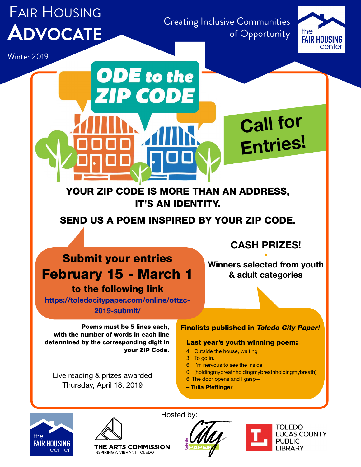# Fair Housing **Advocate**

Creating Inclusive Communities of Opportunity



Winter 2019

### YOUR ZIP CODE IS MORE THAN AN ADDRESS, IT'S AN IDENTITY.

**ODE** to the

ZIP.

CODE

SEND US A POEM INSPIRED BY YOUR ZIP CODE.

# Submit your entries February 15 - March 1

to the following link

[https://toledocitypaper.com/online/ottzc-](https://toledocitypaper.com/online/ottzc-2019-submit/)[2019-submit/](https://toledocitypaper.com/online/ottzc-2019-submit/)

Poems must be 5 lines each, with the number of words in each line determined by the corresponding digit in your ZIP Code.

Live reading & prizes awarded Thursday, April 18, 2019

## & adult categories

CASH PRIZES! • Winners selected from youth

Call for

Entries!

### Finalists published in Toledo City Paper!

### Last year's youth winning poem:

- 4 Outside the house, waiting
- 3 To go in.
- 6 I'm nervous to see the inside
- 0 (holdingmybreathholdingmybreathholdingmybreath)
- 6 The door opens and I gasp—
- Tulia Pfeffinger





**INSPIRING A VIBRANT TOLEDO** 

Hosted by:



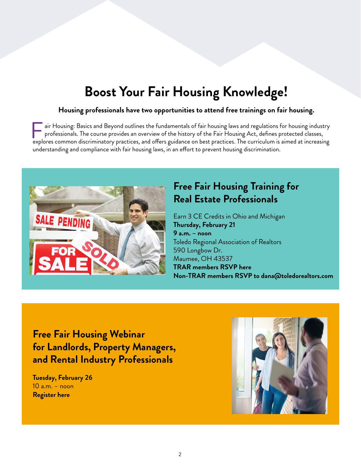# **Boost Your Fair Housing Knowledge!**

### **Housing professionals have two opportunities to attend free trainings on fair housing.**

air Housing: Basics and Beyond outlines the fundamentals of fair housing laws and regulations for housing industry professionals. The course provides an overview of the history of the Fair Housing Act, defines protected classes, air Housing: Basics and Beyond outlines the fundamentals of fair housing laws and regulations for housing industry<br>professionals. The course provides an overview of the history of the Fair Housing Act, defines protected cl understanding and compliance with fair housing laws, in an effort to prevent housing discrimination.



### **Free Fair Housing Training for Real Estate Professionals**

Earn 3 CE Credits in Ohio and Michigan **Thursday, February 21 9 a.m. – noon** Toledo Regional Association of Realtors 590 Longbow Dr. Maumee, OH 43537 **TRAR members [RSVP here](https://mdweb.mmsi2.com/toledoss/toledo_courses.pl?course=022119FAIR) Non-TRAR members RSVP to dana@toledorealtors.com**

**Free Fair Housing Webinar for Landlords, Property Managers, and Rental Industry Professionals**

**Tuesday, February 26**  10 a.m. – noon **[Register here](https://attendee.gotowebinar.com/register/6038072954378940685)**

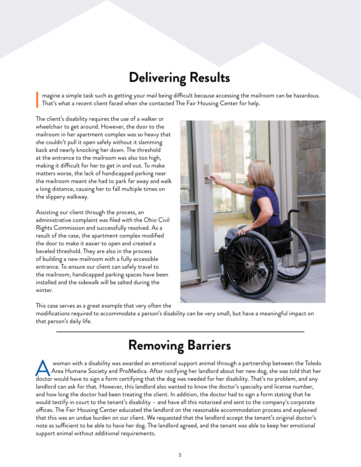# **Delivering Results**

magine a simple task such as getting your mail being difficult because accessing the mailroom can be hazardous. That's what a recent client faced when she contacted The Fair Housing Center for help. I

The client's disability requires the use of a walker or wheelchair to get around. However, the door to the mailroom in her apartment complex was so heavy that she couldn't pull it open safely without it slamming back and nearly knocking her down. The threshold at the entrance to the mailroom was also too high, making it difficult for her to get in and out. To make matters worse, the lack of handicapped parking near the mailroom meant she had to park far away and walk a long distance, causing her to fall multiple times on the slippery walkway.

Assisting our client through the process, an administrative complaint was filed with the Ohio Civil Rights Commission and successfully resolved. As a result of the case, the apartment complex modified the door to make it easier to open and created a beveled threshold. They are also in the process of building a new mailroom with a fully accessible entrance. To ensure our client can safely travel to the mailroom, handicapped parking spaces have been installed and the sidewalk will be salted during the winter.



This case serves as a great example that very often the

modifications required to accommodate a person's disability can be very small, but have a meaningful impact on that person's daily life.

# **Removing Barriers**

 woman with a disability was awarded an emotional support animal through a partnership between the Toledo Area Humane Society and ProMedica. After notifying her landlord about her new dog, she was told that her woman with a disability was awarded an emotional support animal through a partnership between the Toled<br>Area Humane Society and ProMedica. After notifying her landlord about her new dog, she was told that he<br>doctor would h landlord can ask for that. However, this landlord also wanted to know the doctor's specialty and license number, and how long the doctor had been treating the client. In addition, the doctor had to sign a form stating that he would testify in court to the tenant's disability – and have all this notarized and sent to the company's corporate offices. The Fair Housing Center educated the landlord on the reasonable accommodation process and explained that this was an undue burden on our client. We requested that the landlord accept the tenant's original doctor's note as sufficient to be able to have her dog. The landlord agreed, and the tenant was able to keep her emotional support animal without additional requirements.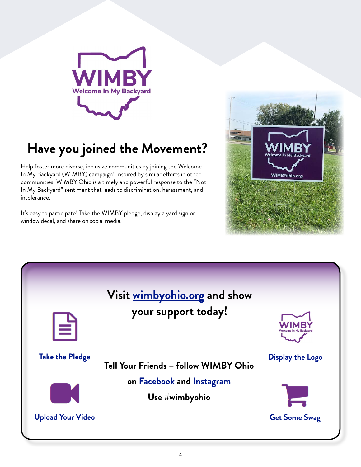

# **Have you joined the Movement?**

Help foster more diverse, inclusive communities by joining the Welcome In My Backyard (WIMBY) campaign! Inspired by similar efforts in other communities, WIMBY Ohio is a timely and powerful response to the "Not In My Backyard" sentiment that leads to discrimination, harassment, and intolerance.

It's easy to participate! Take the WIMBY pledge, display a yard sign or window decal, and share on social media.